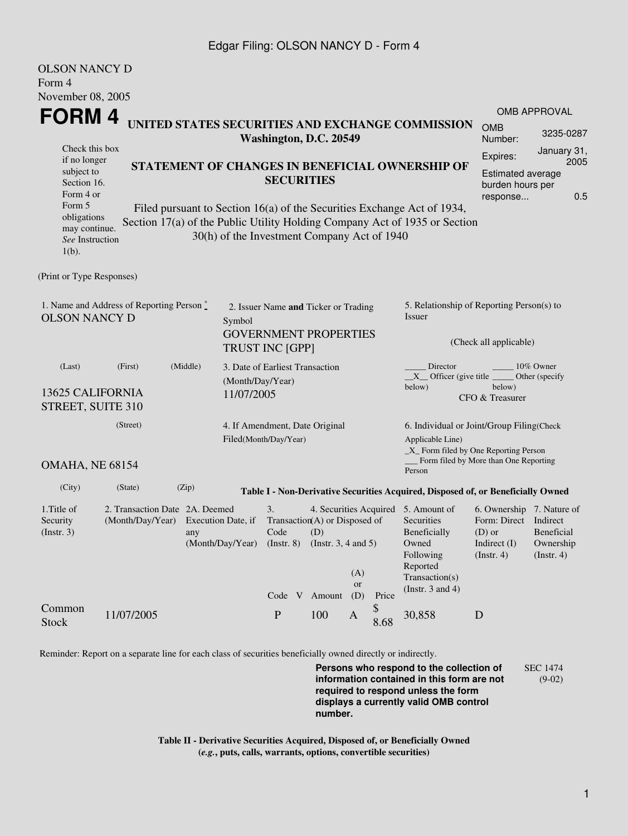### Edgar Filing: OLSON NANCY D - Form 4

OL CONTAINS T

| OLSON NANCY D<br>Form 4                                                                                                                                                                                                                                                       |                                                                      |                           |                                                                      |                                                                                                                 |     |                  |                                                                               |                                                                                                                                                |                                                                                                    |                                                                                        |  |
|-------------------------------------------------------------------------------------------------------------------------------------------------------------------------------------------------------------------------------------------------------------------------------|----------------------------------------------------------------------|---------------------------|----------------------------------------------------------------------|-----------------------------------------------------------------------------------------------------------------|-----|------------------|-------------------------------------------------------------------------------|------------------------------------------------------------------------------------------------------------------------------------------------|----------------------------------------------------------------------------------------------------|----------------------------------------------------------------------------------------|--|
| November 08, 2005<br>FORM 4                                                                                                                                                                                                                                                   |                                                                      |                           |                                                                      |                                                                                                                 |     |                  |                                                                               | UNITED STATES SECURITIES AND EXCHANGE COMMISSION                                                                                               | <b>OMB</b>                                                                                         | <b>OMB APPROVAL</b>                                                                    |  |
|                                                                                                                                                                                                                                                                               |                                                                      |                           |                                                                      | Washington, D.C. 20549                                                                                          |     |                  |                                                                               |                                                                                                                                                | Number:                                                                                            | 3235-0287                                                                              |  |
| Check this box<br>if no longer<br>subject to<br>Section 16.<br>Form 4 or                                                                                                                                                                                                      | STATEMENT OF CHANGES IN BENEFICIAL OWNERSHIP OF<br><b>SECURITIES</b> |                           |                                                                      |                                                                                                                 |     |                  |                                                                               |                                                                                                                                                | Expires:                                                                                           | January 31,<br>2005<br><b>Estimated average</b><br>burden hours per<br>0.5<br>response |  |
| Form 5<br>Filed pursuant to Section 16(a) of the Securities Exchange Act of 1934,<br>obligations<br>Section 17(a) of the Public Utility Holding Company Act of 1935 or Section<br>may continue.<br>30(h) of the Investment Company Act of 1940<br>See Instruction<br>$1(b)$ . |                                                                      |                           |                                                                      |                                                                                                                 |     |                  |                                                                               |                                                                                                                                                |                                                                                                    |                                                                                        |  |
| (Print or Type Responses)                                                                                                                                                                                                                                                     |                                                                      |                           |                                                                      |                                                                                                                 |     |                  |                                                                               |                                                                                                                                                |                                                                                                    |                                                                                        |  |
| 1. Name and Address of Reporting Person *<br><b>OLSON NANCY D</b><br>Symbol                                                                                                                                                                                                   |                                                                      |                           | 2. Issuer Name and Ticker or Trading<br><b>GOVERNMENT PROPERTIES</b> |                                                                                                                 |     |                  | 5. Relationship of Reporting Person(s) to<br>Issuer<br>(Check all applicable) |                                                                                                                                                |                                                                                                    |                                                                                        |  |
|                                                                                                                                                                                                                                                                               |                                                                      |                           |                                                                      | <b>TRUST INC [GPP]</b>                                                                                          |     |                  |                                                                               |                                                                                                                                                |                                                                                                    |                                                                                        |  |
| (First)<br>(Middle)<br>(Last)<br>(Month/Day/Year)<br>13625 CALIFORNIA<br>11/07/2005<br>STREET, SUITE 310                                                                                                                                                                      |                                                                      |                           |                                                                      | 3. Date of Earliest Transaction                                                                                 |     |                  |                                                                               | Director<br>10% Owner<br>$X$ Officer (give title $\frac{X}{X}$<br>Other (specify<br>below)<br>below)<br>CFO & Treasurer                        |                                                                                                    |                                                                                        |  |
| (Street)<br>OMAHA, NE 68154                                                                                                                                                                                                                                                   |                                                                      |                           |                                                                      | 4. If Amendment, Date Original<br>Filed(Month/Day/Year)<br>Person                                               |     |                  |                                                                               | 6. Individual or Joint/Group Filing(Check                                                                                                      |                                                                                                    |                                                                                        |  |
|                                                                                                                                                                                                                                                                               |                                                                      |                           |                                                                      |                                                                                                                 |     |                  |                                                                               | Applicable Line)                                                                                                                               | _X_ Form filed by One Reporting Person<br>Form filed by More than One Reporting                    |                                                                                        |  |
| (City)                                                                                                                                                                                                                                                                        | (State)                                                              | (Zip)                     |                                                                      |                                                                                                                 |     |                  |                                                                               | Table I - Non-Derivative Securities Acquired, Disposed of, or Beneficially Owned                                                               |                                                                                                    |                                                                                        |  |
| 1. Title of<br>Security<br>$($ Instr. 3 $)$                                                                                                                                                                                                                                   | 2. Transaction Date 2A. Deemed<br>(Month/Day/Year)                   | Execution Date, if<br>any |                                                                      | 3.<br>Transaction(A) or Disposed of<br>Code<br>(Month/Day/Year) (Instr. 8) (Instr. 3, 4 and 5)<br>Code V Amount | (D) | (A)<br>or<br>(D) | Price                                                                         | 4. Securities Acquired 5. Amount of<br>Securities<br>Beneficially<br>Owned<br>Following<br>Reported<br>Transaction(s)<br>(Instr. $3$ and $4$ ) | 6. Ownership 7. Nature of<br>Form: Direct Indirect<br>$(D)$ or<br>Indirect (I)<br>$($ Instr. 4 $)$ | Beneficial<br>Ownership<br>$($ Instr. 4 $)$                                            |  |
| Common<br><b>Stock</b>                                                                                                                                                                                                                                                        | 11/07/2005                                                           |                           |                                                                      | $\mathbf P$                                                                                                     | 100 | A                | \$<br>8.68                                                                    | 30,858                                                                                                                                         | D                                                                                                  |                                                                                        |  |

Reminder: Report on a separate line for each class of securities beneficially owned directly or indirectly.

**Persons who respond to the collection of information contained in this form are not required to respond unless the form displays a currently valid OMB control number.** SEC 1474 (9-02)

**Table II - Derivative Securities Acquired, Disposed of, or Beneficially Owned (***e.g.***, puts, calls, warrants, options, convertible securities)**